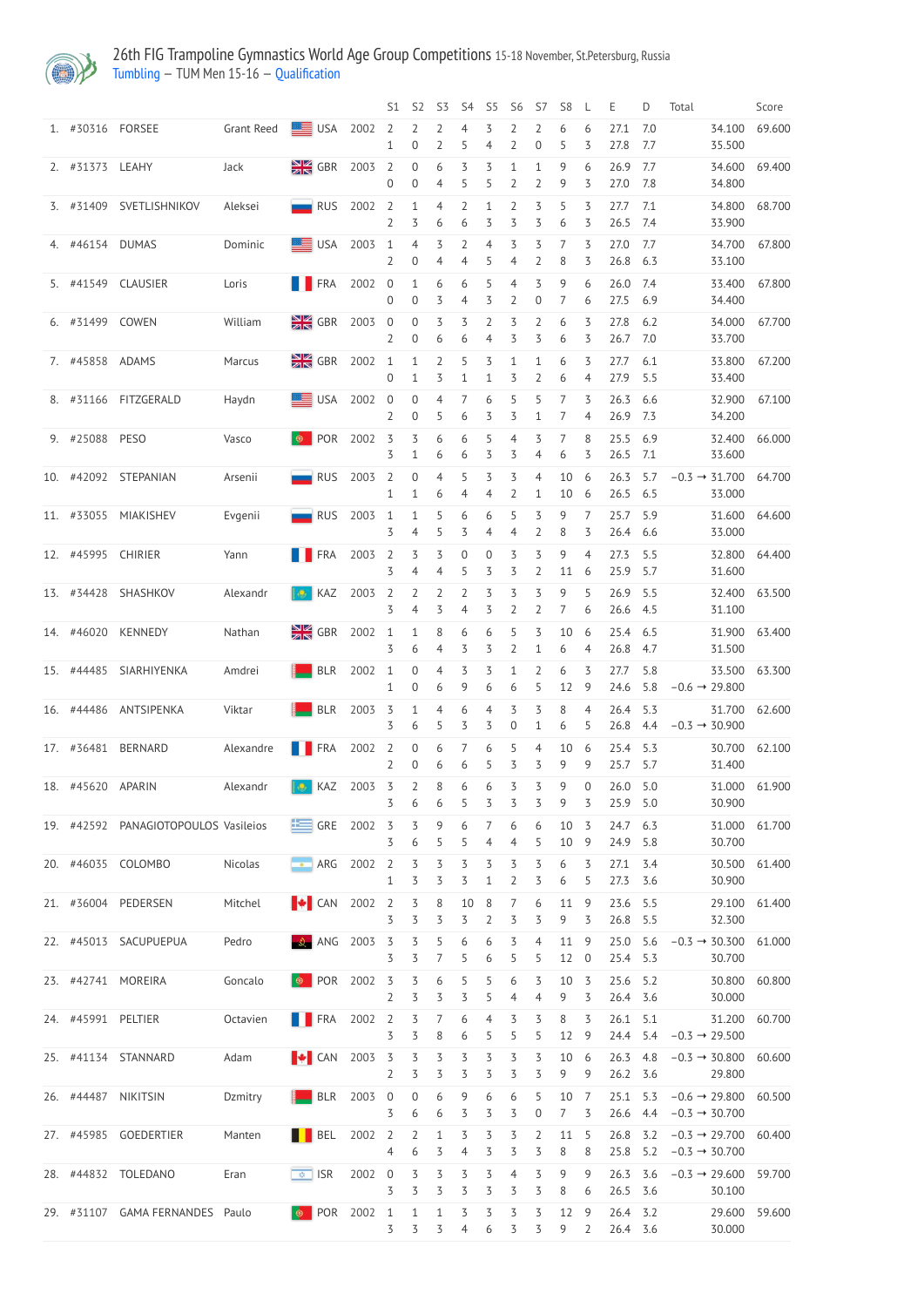

## 26th FIG Trampoline Gymnastics World Age Group Competitions 15-18 November, St.Petersburg, Russia [Tumbling](http://192.168.1.10:9001/event/TUM) — TUM Men 15-16 — [Qualification](http://192.168.1.10:9001/stages/13)

|                    |                                 |            |                          |                 | S1                               | S <sub>2</sub>                       | S <sub>3</sub>      | S4                               | S <sub>5</sub>      | S <sub>6</sub>                 | S7                  | S <sub>8</sub>        | L                   | Ε                      | D          | Total                                                                           | Score         |
|--------------------|---------------------------------|------------|--------------------------|-----------------|----------------------------------|--------------------------------------|---------------------|----------------------------------|---------------------|--------------------------------|---------------------|-----------------------|---------------------|------------------------|------------|---------------------------------------------------------------------------------|---------------|
| 1. #30316 FORSEE   |                                 | Grant Reed | $\equiv$ USA 2002        |                 | $\overline{2}$<br>1              | $\overline{2}$<br>$\boldsymbol{0}$   | 2<br>$\overline{2}$ | 4<br>5                           | 3<br>4              | 2<br>$\overline{2}$            | 2<br>0              | 6<br>5                | 6<br>3              | 27.1<br>27.8           | 7.0<br>7.7 | 34.100<br>35.500                                                                | 69.600        |
| 2. #31373 LEAHY    |                                 | Jack       | $\frac{N}{2N}$ GBR       | 2003            | $\overline{2}$<br>$\overline{0}$ | $\boldsymbol{0}$<br>$\boldsymbol{0}$ | 6<br>4              | 3<br>5                           | 3<br>5              | $\mathbf{1}$<br>$\overline{2}$ | $\mathbf{1}$<br>2   | 9<br>9                | 6<br>3              | 26.9<br>27.0           | 7.7<br>7.8 | 34.600<br>34.800                                                                | 69.400        |
|                    | 3. #31409 SVETLISHNIKOV         | Aleksei    | $\blacksquare$ RUS       | 2002            | $\overline{2}$<br>$\overline{2}$ | $\mathbf{1}$<br>3                    | 4<br>6              | $\overline{2}$<br>6              | 1<br>3              | $\overline{2}$<br>3            | 3<br>3              | 5<br>6                | 3<br>3              | 27.7<br>26.5 7.4       | 7.1        | 34.800<br>33.900                                                                | 68.700        |
| 4. #46154 DUMAS    |                                 | Dominic    | <b>SEE USA</b>           | 2003            | $\mathbf{1}$<br>$\overline{2}$   | $\overline{4}$<br>$\overline{0}$     | 3<br>4              | $\overline{2}$<br>$\overline{4}$ | $\overline{4}$<br>5 | 3<br>$\overline{4}$            | 3<br>2              | 7<br>8                | 3<br>3              | 27.0<br>26.8 6.3       | 7.7        | 34.700<br>33.100                                                                | 67.800        |
|                    | 5. #41549 CLAUSIER              | Loris      | <b>THE FRA</b>           | 2002            | $\overline{0}$<br>$\overline{0}$ | $\mathbf{1}$<br>$\boldsymbol{0}$     | 6<br>3              | 6<br>4                           | 5<br>3              | $\overline{4}$<br>2            | 3<br>0              | 9<br>7                | 6<br>6              | 26.0 7.4<br>27.5 6.9   |            | 33.400<br>34.400                                                                | 67.800        |
| 6. #31499 COWEN    |                                 | William    | $\frac{N}{Z}$ GBR        | 2003 0          | 2                                | $\boldsymbol{0}$<br>$\overline{0}$   | 3<br>6              | 3<br>6                           | 2<br>4              | 3<br>3                         | 2<br>3              | 6<br>6                | 3<br>3              | 27.8<br>26.7 7.0       | 6.2        | 34.000<br>33.700                                                                | 67.700        |
| 7. #45858 ADAMS    |                                 | Marcus     | $\frac{N}{Z}$ GBR        | 2002 1          | $\overline{0}$                   | $\mathbf{1}$<br>$\mathbf{1}$         | $\overline{2}$<br>3 | 5<br>$\mathbf{1}$                | 3<br>1              | $\mathbf{1}$<br>3              | 1<br>2              | 6<br>6                | 3<br>4              | 27.7<br>27.9 5.5       | 6.1        | 33.800<br>33.400                                                                | 67.200        |
|                    | 8. #31166 FITZGERALD            | Haydn      | $\equiv$ USA             | 2002            | $\overline{0}$<br>2              | $\boldsymbol{0}$<br>$\boldsymbol{0}$ | 4<br>5              | 7<br>6                           | 6<br>3              | 5<br>3                         | 5<br>1              | 7<br>7                | 3<br>4              | 26.3 6.6<br>26.9 7.3   |            | 32.900<br>34.200                                                                | 67.100        |
| 9. #25088 PESO     |                                 | Vasco      | <b>O</b> POR             | 2002            | 3<br>3                           | 3<br>$\mathbf{1}$                    | 6<br>6              | 6<br>6                           | 5<br>3              | $\overline{4}$<br>3            | 3<br>4              | 7<br>6                | 8<br>3              | 25.5 6.9<br>26.5 7.1   |            | 32.400<br>33.600                                                                | 66.000        |
|                    | 10. #42092 STEPANIAN            | Arsenii    | $\blacksquare$ RUS       | 2003            | 2<br>$\mathbf{1}$                | $\boldsymbol{0}$<br>$\mathbf{1}$     | $\overline{4}$<br>6 | 5<br>4                           | 3<br>4              | 3<br>2                         | $\overline{4}$<br>1 | 10<br>10              | 6<br>6              | 26.3<br>26.5 6.5       | 5.7        | $-0.3 \rightarrow 31.700$<br>33.000                                             | 64.700        |
|                    | 11. #33055 MIAKISHEV            | Evgenii    | $\blacksquare$ RUS       | 2003            | $\mathbf{1}$<br>3                | $\mathbf{1}$<br>4                    | 5<br>5              | 6<br>3                           | 6<br>4              | 5<br>4                         | 3<br>2              | 9<br>8                | 7<br>3              | 25.7<br>26.4 6.6       | 5.9        | 31.600<br>33.000                                                                | 64.600        |
| 12. #45995 CHIRIER |                                 | Yann       | <b>TERA</b>              | 2003 2          | 3                                | 3<br>$\overline{4}$                  | $\overline{5}$<br>4 | $\boldsymbol{0}$<br>5            | $\mathbf 0$<br>3    | 3<br>3                         | 3<br>2              | 9<br>11               | 4<br>6              | 27.3<br>25.9 5.7       | 5.5        | 32.800<br>31.600                                                                | 64.400        |
|                    | 13. #34428 SHASHKOV             | Alexandr   | $\approx$ KAZ 2003 2     |                 | 3                                | $\mathcal{L}$<br>4                   | $\mathcal{L}$<br>3  | $\mathcal{L}$<br>4               | る…<br>3             | $\overline{5}$<br>2            | 3.<br>2             | 9<br>7                | 5.<br>6             | 26.9 5.5<br>26.6 4.5   |            | 31.100                                                                          | 32.400 63.500 |
| 14. #46020         | KENNEDY                         | Nathan     | $\frac{N}{Z}$ GBR        | 2002            | $\mathbf{1}$<br>3                | $\mathbf{1}$<br>6                    | $8\,$<br>4          | 6<br>3                           | 6<br>3              | 5<br>2                         | 3<br>1              | 10<br>6               | 6<br>4              | 25.4 6.5<br>26.8 4.7   |            | 31.900<br>31.500                                                                | 63.400        |
| 15. #44485         | SIARHIYENKA                     | Amdrei     | <b>BLR</b>               | 2002            | $\mathbf{1}$<br>1                | $\boldsymbol{0}$<br>$\boldsymbol{0}$ | 4<br>6              | 3<br>9                           | 3<br>6              | $\mathbf{1}$<br>6              | 2<br>5              | 6<br>12               | 3<br>9              | 27.7<br>24.6           | 5.8<br>5.8 | 33.500<br>$-0.6 \rightarrow 29.800$                                             | 63.300        |
|                    | 16. #44486 ANTSIPENKA           | Viktar     | BLR                      | 2003            | 3<br>3                           | $\mathbf{1}$<br>6                    | $\overline{4}$<br>5 | 6<br>3                           | $\overline{4}$<br>3 | 3<br>0                         | 3<br>1              | 8<br>6                | 4<br>5              | 26.4 5.3<br>26.8       | 4.4        | 31.700<br>$-0.3 \rightarrow 30.900$                                             | 62.600        |
|                    | 17. #36481 BERNARD              | Alexandre  | <b>THE FRA</b>           | 2002            | $\overline{2}$<br>2              | $\boldsymbol{0}$<br>$\boldsymbol{0}$ | 6<br>6              | 7<br>6                           | 6<br>5              | 5<br>3                         | 4<br>3              | 10<br>9               | 6<br>9              | 25.4 5.3<br>25.7       | 5.7        | 30.700<br>31.400                                                                | 62.100        |
| 18. #45620 APARIN  |                                 | Alexandr   | KAZ                      | 2003            | 3<br>3                           | $\overline{2}$<br>6                  | 8<br>6              | 6<br>5                           | 6<br>3              | 3<br>3                         | 3<br>3              | 9<br>9                | $\overline{0}$<br>3 | 26.0<br>25.9 5.0       | 5.0        | 31.000<br>30.900                                                                | 61.900        |
| 19. #42592         | PANAGIOTOPOULOS Vasileios       |            | $\equiv$ GRE             | 2002            | $\overline{3}$<br>3              | 3<br>6                               | 9<br>5              | 6<br>5                           | 7<br>4              | 6<br>4                         | 6<br>5              | 10<br>10              | 3<br>9              | 24.7<br>24.9 5.8       | 6.3        | 31.000<br>30.700                                                                | 61.700        |
|                    | 20. #46035 COLOMBO              | Nicolas    | $\bullet$ ARG            | 2002            | $\overline{2}$<br>1              | $\overline{3}$<br>3                  | 3<br>3              | 3<br>3                           | 3<br>1              | 3<br>$\overline{2}$            | 3<br>3              | 6<br>6                | 3<br>5              | 27.1<br>27.3           | 3.4<br>3.6 | 30.500<br>30.900                                                                | 61.400        |
| 21. #36004         | PEDERSEN                        | Mitchel    | <b>EXECUTE</b>           | 2002            | $\overline{2}$<br>3              | 3<br>3                               | $8\,$<br>3          | 10<br>3                          | 8<br>2              | 7<br>3                         | 6<br>3              | 11<br>9               | 9<br>3              | 23.6<br>26.8 5.5       | 5.5        | 29.100<br>32.300                                                                | 61.400        |
| 22. #45013         | SACUPUEPUA                      | Pedro      | $\mathcal{R}$ ANG        | 2003            | 3<br>3                           | 3<br>3                               | 5<br>7              | 6<br>5                           | 6<br>6              | 3<br>5                         | $\overline{4}$<br>5 | 11<br>12              | 9<br>$\overline{0}$ | 25.0<br>25.4 5.3       | 5.6        | $-0.3 \rightarrow 30.300$<br>30.700                                             | 61.000        |
| 23. #42741         | MOREIRA                         | Goncalo    | $\bullet$<br>POR         | 2002            | 3<br>$\overline{2}$              | 3<br>3                               | 6<br>3              | 5<br>3                           | 5<br>5              | 6<br>4                         | 3<br>4              | 10<br>9               | 3<br>3              | 25.6 5.2<br>26.4 3.6   |            | 30.800<br>30.000                                                                | 60.800        |
| 24. #45991 PELTIER |                                 | Octavien   | <b>TERA</b>              | 2002            | $\overline{2}$<br>3              | 3<br>3                               | 7<br>8              | 6<br>6                           | $\overline{4}$<br>5 | 3<br>5                         | 3<br>5              | 8<br>12               | 3<br>9              | $26.1$ 5.1<br>24.4 5.4 |            | 31.200<br>$-0.3 \rightarrow 29.500$                                             | 60.700        |
| 25. #41134         | STANNARD                        | Adam       | <b>EXECUTE</b>           | 2003            | 3<br>2                           | $\overline{5}$<br>3                  | 3<br>3              | 3<br>3                           | 3<br>3              | 3<br>3                         | 3<br>3              | 10<br>9               | 6<br>9              | 26.3<br>26.2 3.6       | 4.8        | $-0.3 \rightarrow 30.800$<br>29.800                                             | 60.600        |
|                    | 26. #44487 NIKITSIN             | Dzmitry    |                          | <b>BLR</b> 2003 | $\overline{0}$<br>3.             | $\theta$<br>6                        | 6<br>6              | 9<br>3                           | 6<br>3              | 6<br>3                         | 5<br>0              | 10<br>$7\overline{ }$ | 7<br>3              |                        |            | 25.1 5.3 $-0.6 \rightarrow 29.800$ 60.500<br>26.6 4.4 $-0.3 \rightarrow 30.700$ |               |
|                    | 27. #45985 GOEDERTIER           | Manten     | <b>N</b> BEL             | 2002 2          | 4                                | $\overline{2}$<br>6                  | $\mathbf{1}$<br>3   | 3<br>4                           | 3<br>3              | 3<br>3                         | 2<br>3              | 11<br>8               | $5^{\circ}$<br>8    | 26.8 3.2<br>25.8 5.2   |            | $-0.3 \rightarrow 29.700$ 60.400<br>$-0.3 \rightarrow 30.700$                   |               |
|                    | 28. #44832 TOLEDANO             | Eran       | $\sqrt{\frac{1}{2}}$ ISR | 2002            | $\overline{0}$<br>3              | 3<br>3                               | 3<br>3              | 3<br>3                           | 3<br>3              | 4<br>3                         | 3<br>3              | 9<br>8                | 9<br>6              | 26.3 3.6<br>26.5 3.6   |            | $-0.3 \rightarrow 29.600$ 59.700<br>30.100                                      |               |
|                    | 29. #31107 GAMA FERNANDES Paulo |            | $\bullet$                | POR 2002 1      | 3                                | $\mathbf{1}$<br>3                    | $\mathbf 1$<br>3    | 3<br>4                           | 3<br>6              | 3<br>3                         | 3<br>3              | 12<br>9               | 9<br>2              | 26.4 3.2<br>26.4 3.6   |            | 29.600<br>30.000                                                                | 59.600        |